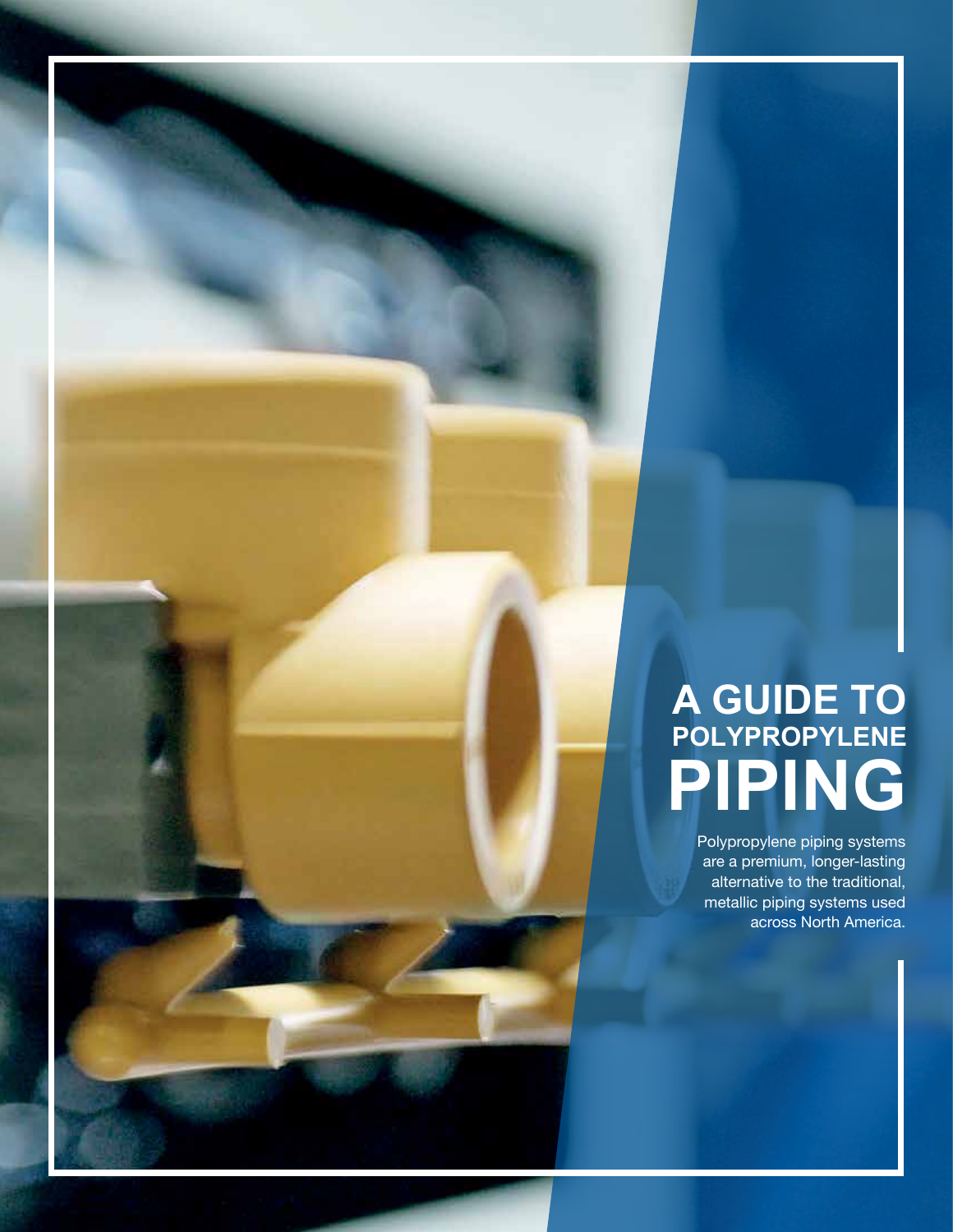# **A GUIDE TO POLYPROPYLENE PIPING**

Polypropylene piping systems are a premium, longer-lasting alternative to the traditional, metallic piping systems used across North America.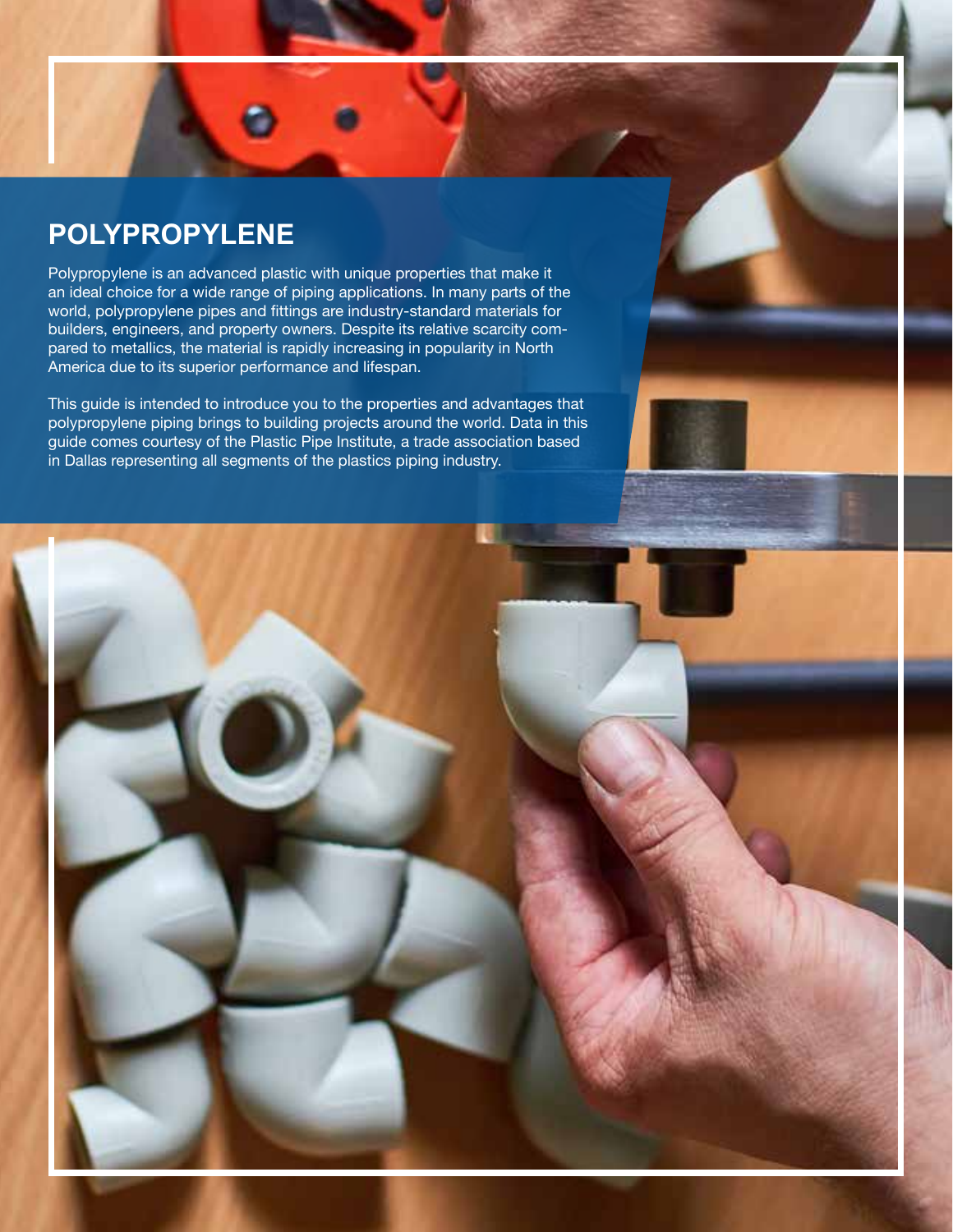#### **POLYPROPYLENE**

Polypropylene is an advanced plastic with unique properties that make it an ideal choice for a wide range of piping applications. In many parts of the world, polypropylene pipes and fittings are industry-standard materials for builders, engineers, and property owners. Despite its relative scarcity compared to metallics, the material is rapidly increasing in popularity in North America due to its superior performance and lifespan.

This guide is intended to introduce you to the properties and advantages that polypropylene piping brings to building projects around the world. Data in this guide comes courtesy of the Plastic Pipe Institute, a trade association based in Dallas representing all segments of the plastics piping industry.

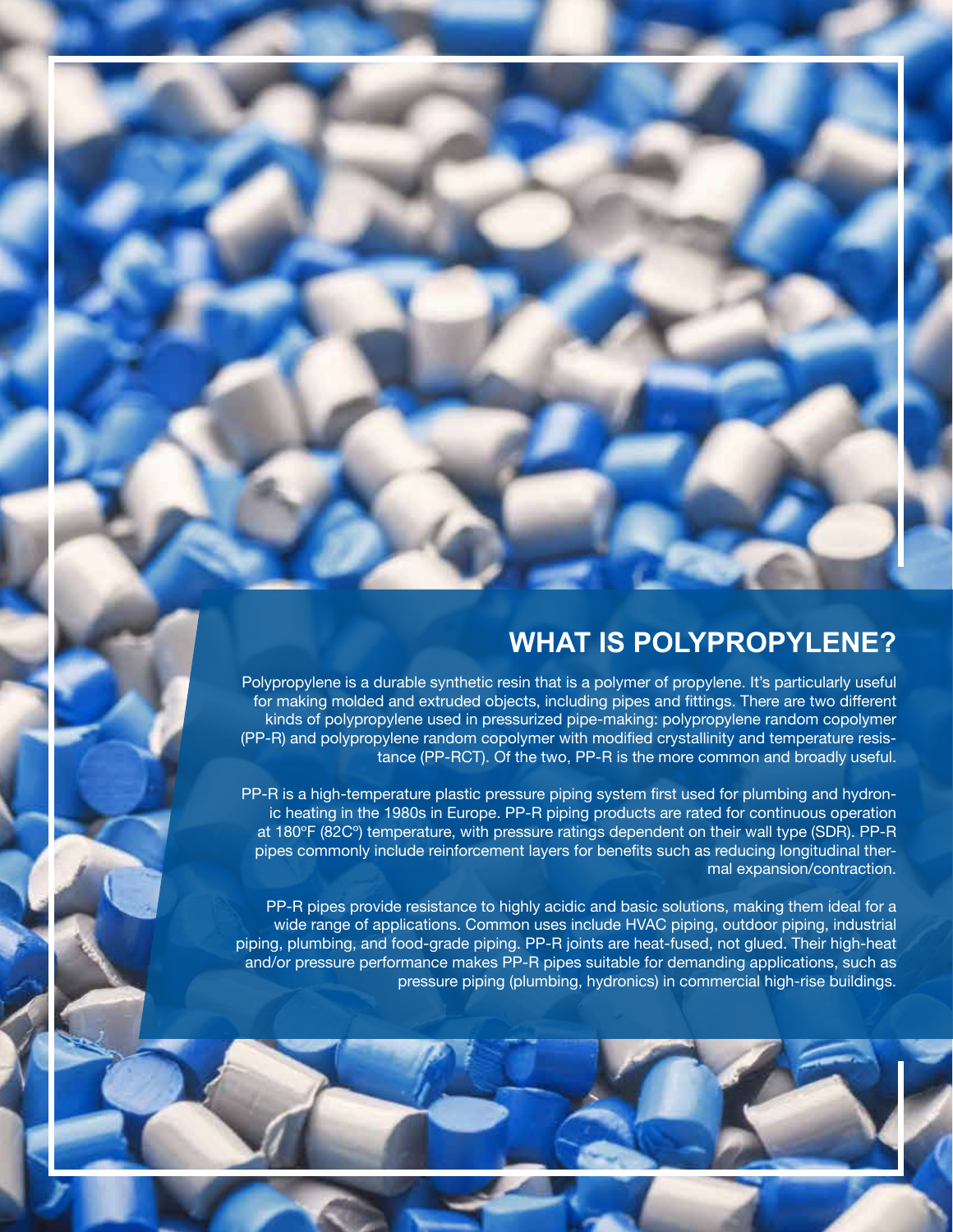#### **WHAT IS POLYPROPYLENE?**

Polypropylene is a durable synthetic resin that is a polymer of propylene. It's particularly useful for making molded and extruded objects, including pipes and fittings. There are two different kinds of polypropylene used in pressurized pipe-making: polypropylene random copolymer (PP-R) and polypropylene random copolymer with modified crystallinity and temperature resistance (PP-RCT). Of the two, PP-R is the more common and broadly useful.

PP-R is a high-temperature plastic pressure piping system first used for plumbing and hydronic heating in the 1980s in Europe. PP-R piping products are rated for continuous operation at 180ºF (82Cº) temperature, with pressure ratings dependent on their wall type (SDR). PP-R pipes commonly include reinforcement layers for benefits such as reducing longitudinal thermal expansion/contraction.

PP-R pipes provide resistance to highly acidic and basic solutions, making them ideal for a wide range of applications. Common uses include HVAC piping, outdoor piping, industrial piping, plumbing, and food-grade piping. PP-R joints are heat-fused, not glued. Their high-heat and/or pressure performance makes PP-R pipes suitable for demanding applications, such as pressure piping (plumbing, hydronics) in commercial high-rise buildings.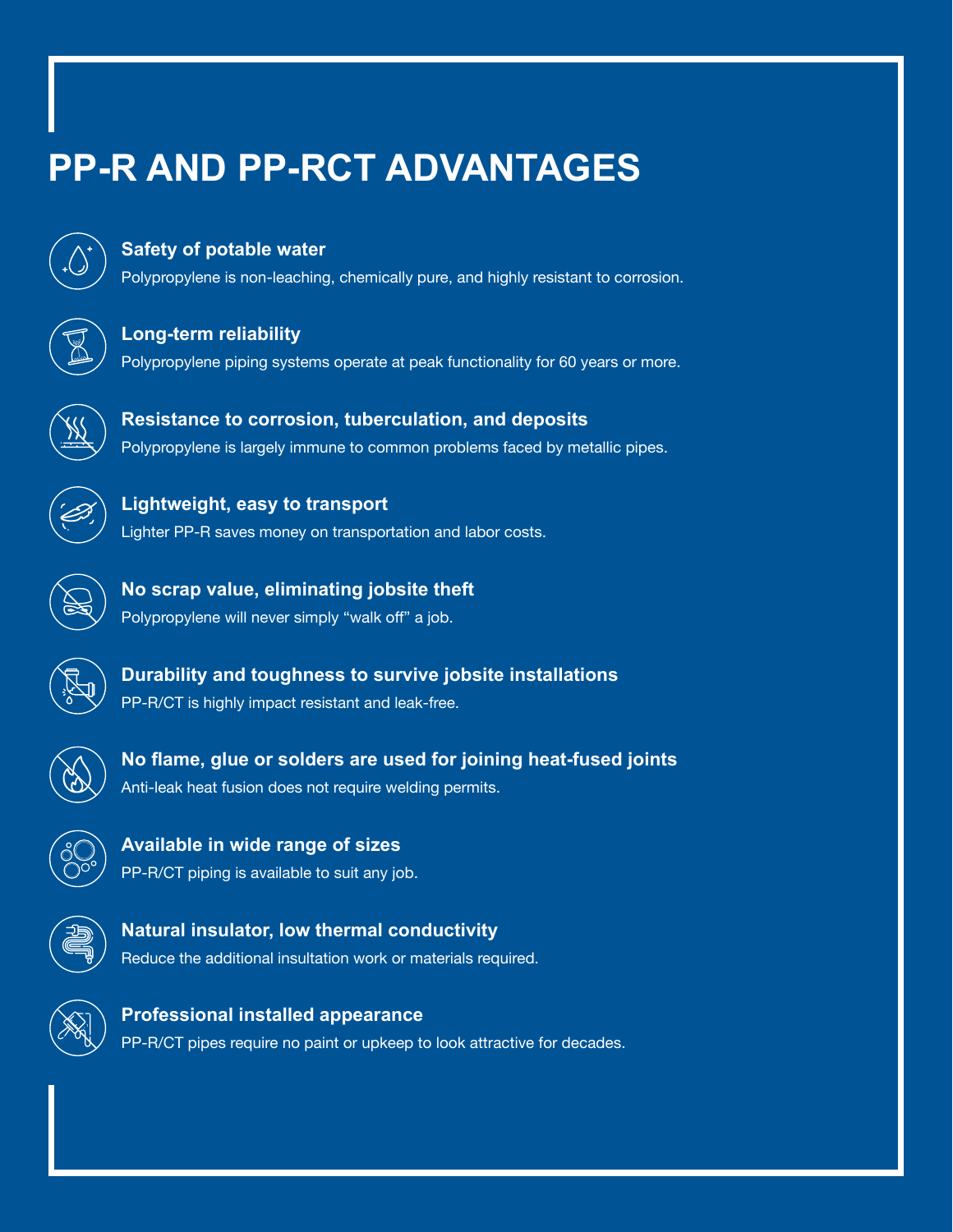# **PP-R AND PP-RCT ADVANTAGES**

#### **Safety of potable water**

**Lightweight, easy to transport**

Polypropylene is non-leaching, chemically pure, and highly resistant to corrosion.

#### **Long-term reliability**

Polypropylene piping systems operate at peak functionality for 60 years or more.

**Resistance to corrosion, tuberculation, and deposits** Polypropylene is largely immune to common problems faced by metallic pipes.

Lighter PP-R saves money on transportation and labor costs.

**No scrap value, eliminating jobsite theft** Polypropylene will never simply "walk off" a job.



**Durability and toughness to survive jobsite installations** PP-R/CT is highly impact resistant and leak-free.



**No flame, glue or solders are used for joining heat-fused joints** Anti-leak heat fusion does not require welding permits.

**Available in wide range of sizes** PP-R/CT piping is available to suit any job.



**Natural insulator, low thermal conductivity** Reduce the additional insultation work or materials required.



**Professional installed appearance** PP-R/CT pipes require no paint or upkeep to look attractive for decades.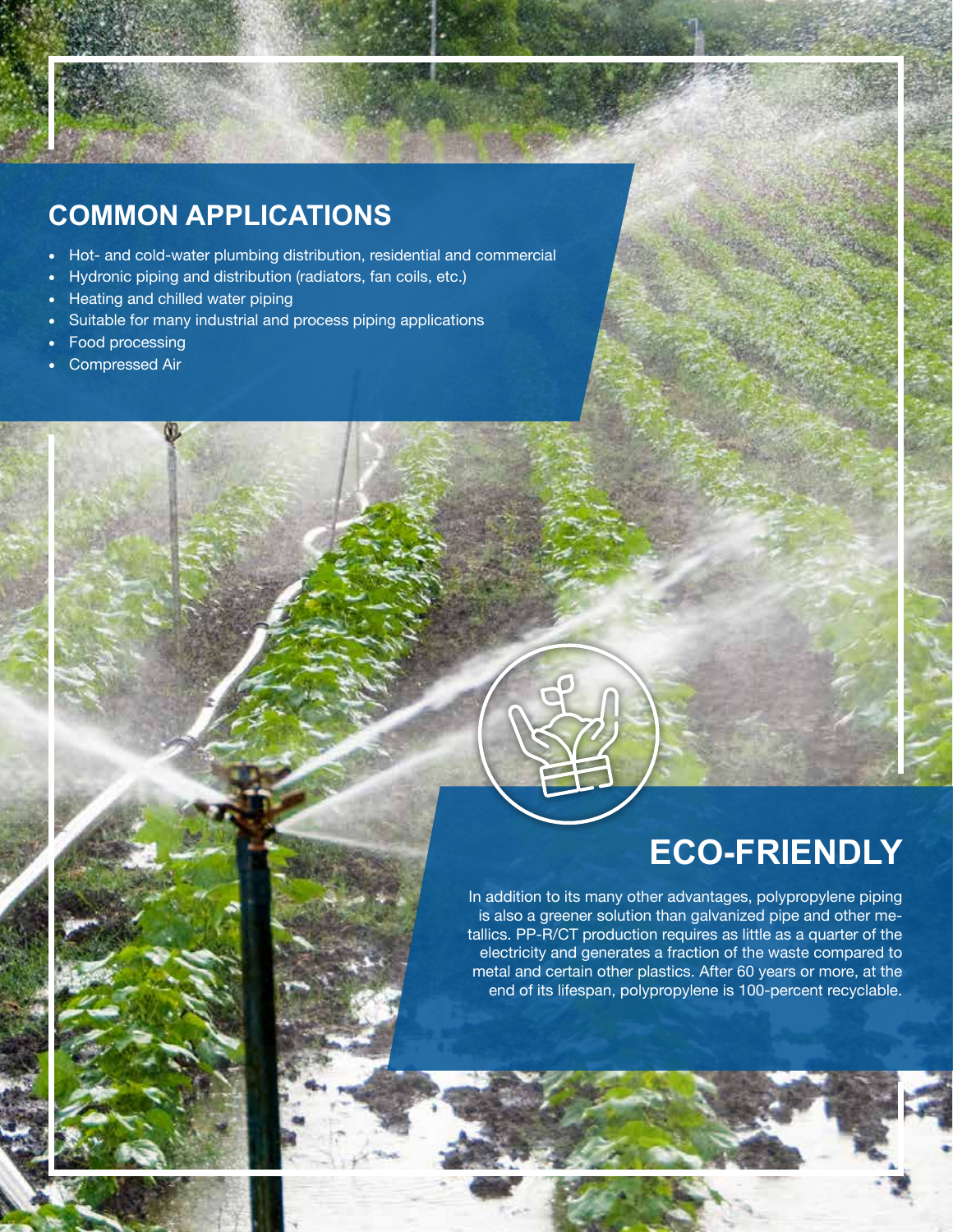### **COMMON APPLICATIONS**

- Hot- and cold-water plumbing distribution, residential and commercial
- Hydronic piping and distribution (radiators, fan coils, etc.)
- Heating and chilled water piping
- Suitable for many industrial and process piping applications
- Food processing
- Compressed Air

## **ECO-FRIENDLY**

In addition to its many other advantages, polypropylene piping is also a greener solution than galvanized pipe and other metallics. PP-R/CT production requires as little as a quarter of the electricity and generates a fraction of the waste compared to metal and certain other plastics. After 60 years or more, at the end of its lifespan, polypropylene is 100-percent recyclable.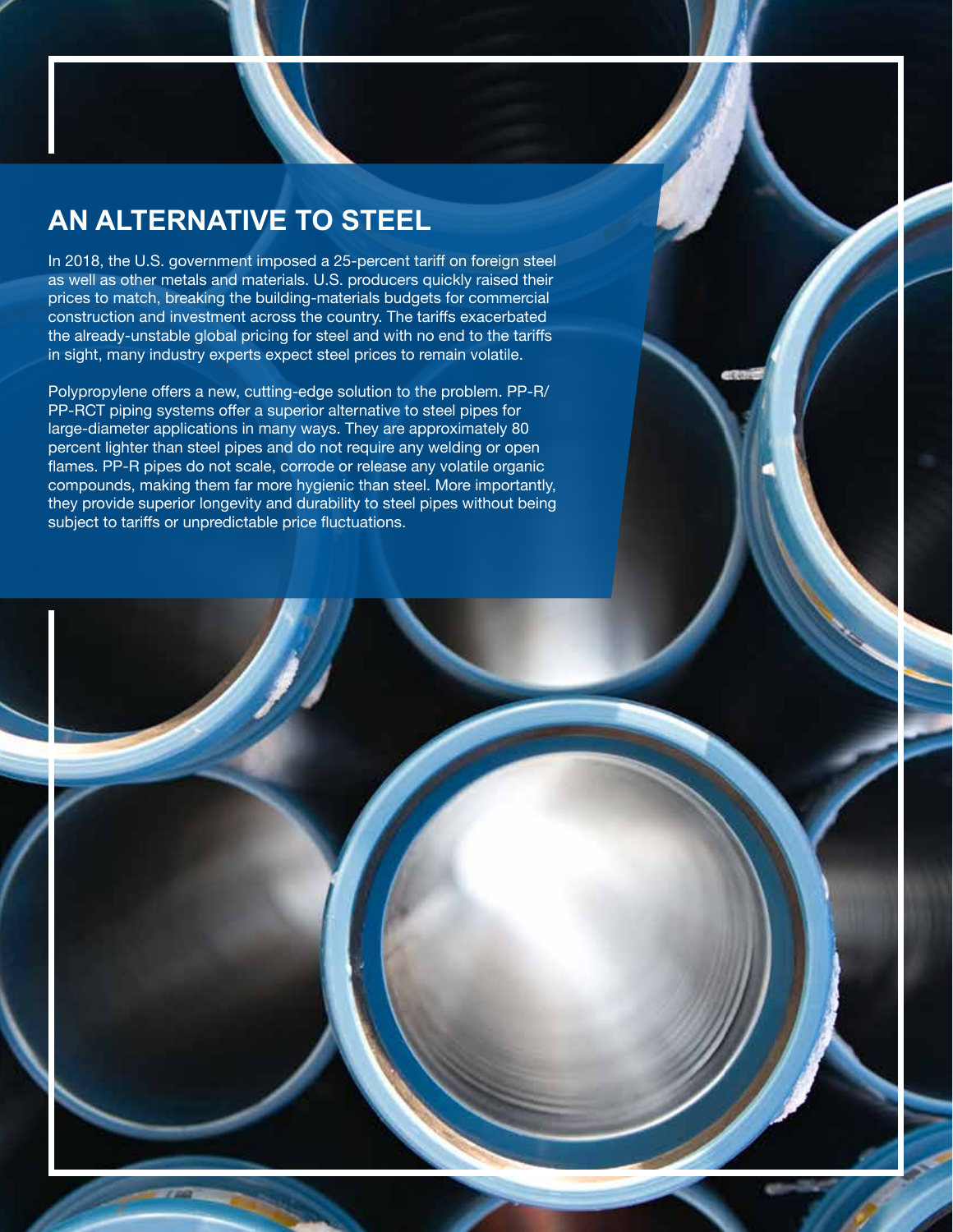### **AN ALTERNATIVE TO STEEL**

In 2018, the U.S. government imposed a 25-percent tariff on foreign steel as well as other metals and materials. U.S. producers quickly raised their prices to match, breaking the building-materials budgets for commercial construction and investment across the country. The tariffs exacerbated the already-unstable global pricing for steel and with no end to the tariffs in sight, many industry experts expect steel prices to remain volatile.

Polypropylene offers a new, cutting-edge solution to the problem. PP-R/ PP-RCT piping systems offer a superior alternative to steel pipes for large-diameter applications in many ways. They are approximately 80 percent lighter than steel pipes and do not require any welding or open flames. PP-R pipes do not scale, corrode or release any volatile organic compounds, making them far more hygienic than steel. More importantly, they provide superior longevity and durability to steel pipes without being subject to tariffs or unpredictable price fluctuations.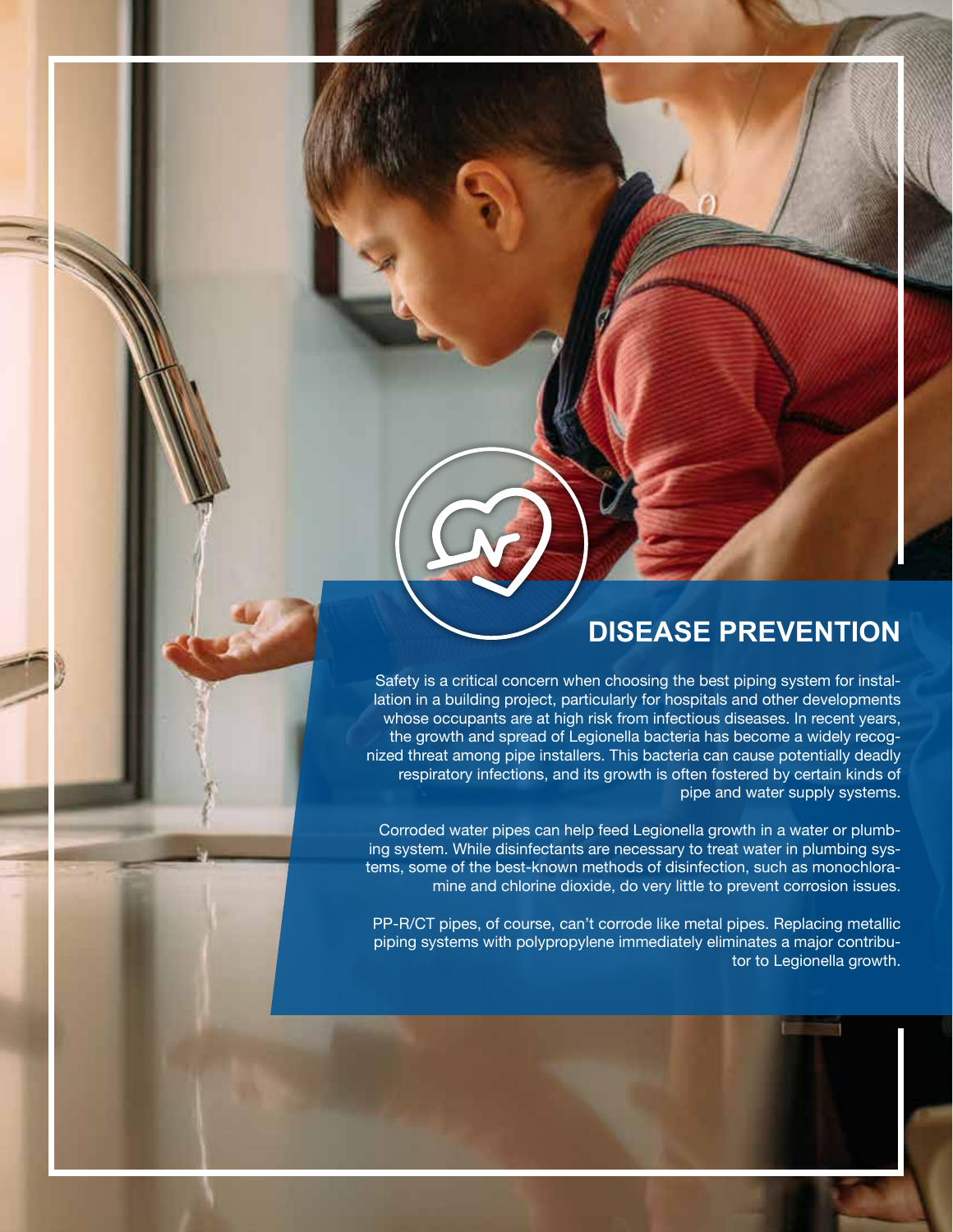### **DISEASE PREVENTION**

Safety is a critical concern when choosing the best piping system for installation in a building project, particularly for hospitals and other developments whose occupants are at high risk from infectious diseases. In recent years, the growth and spread of Legionella bacteria has become a widely recognized threat among pipe installers. This bacteria can cause potentially deadly respiratory infections, and its growth is often fostered by certain kinds of pipe and water supply systems.

Corroded water pipes can help feed Legionella growth in a water or plumbing system. While disinfectants are necessary to treat water in plumbing systems, some of the best-known methods of disinfection, such as monochloramine and chlorine dioxide, do very little to prevent corrosion issues.

PP-R/CT pipes, of course, can't corrode like metal pipes. Replacing metallic piping systems with polypropylene immediately eliminates a major contributor to Legionella growth.